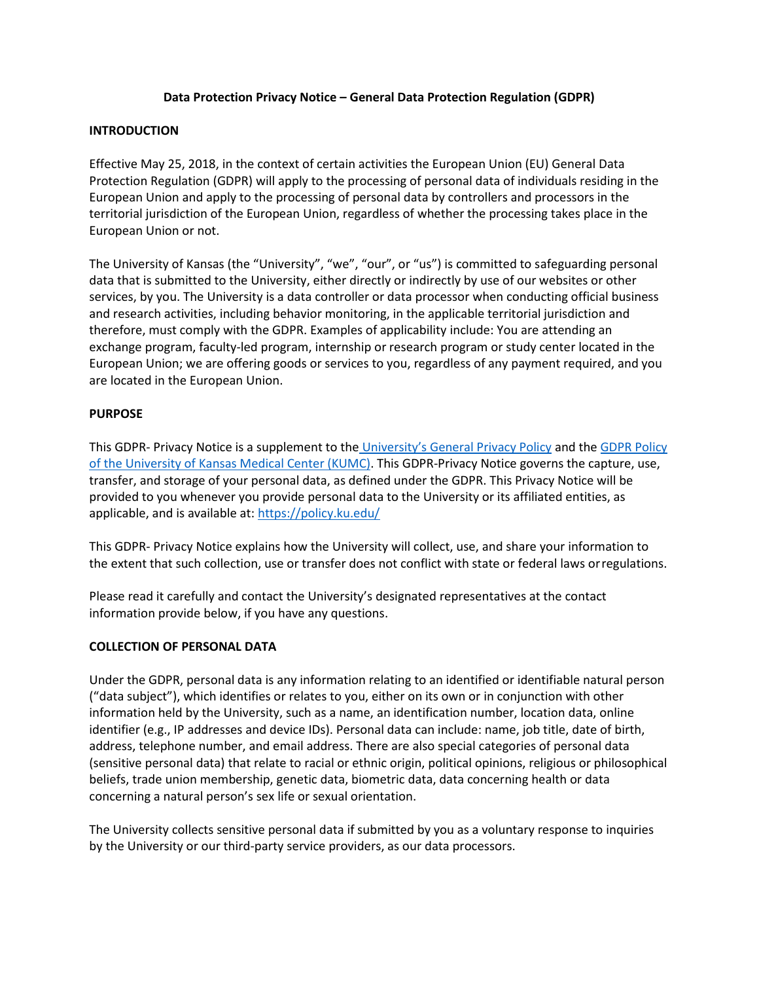# **Data Protection Privacy Notice – General Data Protection Regulation (GDPR)**

#### **INTRODUCTION**

Effective May 25, 2018, in the context of certain activities the European Union (EU) General Data Protection Regulation (GDPR) will apply to the processing of personal data of individuals residing in the European Union and apply to the processing of personal data by controllers and processors in the territorial jurisdiction of the European Union, regardless of whether the processing takes place in the European Union or not.

The University of Kansas (the "University", "we", "our", or "us") is committed to safeguarding personal data that is submitted to the University, either directly or indirectly by use of our websites or other services, by you. The University is a data controller or data processor when conducting official business and research activities, including behavior monitoring, in the applicable territorial jurisdiction and therefore, must comply with the GDPR. Examples of applicability include: You are attending an exchange program, faculty-led program, internship or research program or study center located in the European Union; we are offering goods or services to you, regardless of any payment required, and you are located in the European Union.

#### **PURPOSE**

This GDPR- Privacy Notice is a supplement to the [University's General Privacy Policy](https://policy.ku.edu/provost/privacy-policy) and the [GDPR Policy](https://kumc-publicpoliciesandprocedures.policystat.com/policy/5008751/latest/) [of the University of Kansas Medical Center \(KUMC\).](https://kumc-publicpoliciesandprocedures.policystat.com/policy/5008751/latest/) This GDPR-Privacy Notice governs the capture, use, transfer, and storage of your personal data, as defined under the GDPR. This Privacy Notice will be provided to you whenever you provide personal data to the University or its affiliated entities, as applicable, and is available at:<https://policy.ku.edu/>

This GDPR- Privacy Notice explains how the University will collect, use, and share your information to the extent that such collection, use or transfer does not conflict with state or federal laws orregulations.

Please read it carefully and contact the University's designated representatives at the contact information provide below, if you have any questions.

# **COLLECTION OF PERSONAL DATA**

Under the GDPR, personal data is any information relating to an identified or identifiable natural person ("data subject"), which identifies or relates to you, either on its own or in conjunction with other information held by the University, such as a name, an identification number, location data, online identifier (e.g., IP addresses and device IDs). Personal data can include: name, job title, date of birth, address, telephone number, and email address. There are also special categories of personal data (sensitive personal data) that relate to racial or ethnic origin, political opinions, religious or philosophical beliefs, trade union membership, genetic data, biometric data, data concerning health or data concerning a natural person's sex life or sexual orientation.

The University collects sensitive personal data if submitted by you as a voluntary response to inquiries by the University or our third-party service providers, as our data processors.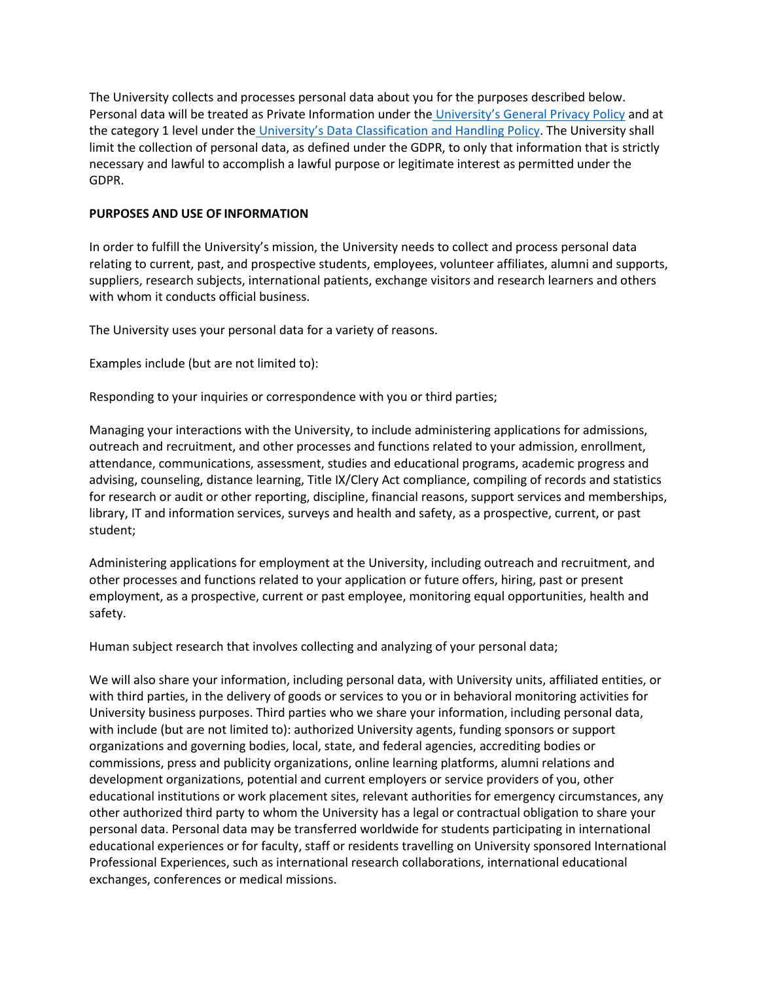The University collects and processes personal data about you for the purposes described below. Personal data will be treated as Private Information under the [University's General Privacy Policy](https://policy.ku.edu/provost/privacy-policy) and at the category 1 level under the [University's Data Classification and Handling Policy](https://policy.ku.edu/IT/data-classification-handling). The University shall limit the collection of personal data, as defined under the GDPR, to only that information that is strictly necessary and lawful to accomplish a lawful purpose or legitimate interest as permitted under the GDPR.

#### **PURPOSES AND USE OF INFORMATION**

In order to fulfill the University's mission, the University needs to collect and process personal data relating to current, past, and prospective students, employees, volunteer affiliates, alumni and supports, suppliers, research subjects, international patients, exchange visitors and research learners and others with whom it conducts official business.

The University uses your personal data for a variety of reasons.

Examples include (but are not limited to):

Responding to your inquiries or correspondence with you or third parties;

Managing your interactions with the University, to include administering applications for admissions, outreach and recruitment, and other processes and functions related to your admission, enrollment, attendance, communications, assessment, studies and educational programs, academic progress and advising, counseling, distance learning, Title IX/Clery Act compliance, compiling of records and statistics for research or audit or other reporting, discipline, financial reasons, support services and memberships, library, IT and information services, surveys and health and safety, as a prospective, current, or past student;

Administering applications for employment at the University, including outreach and recruitment, and other processes and functions related to your application or future offers, hiring, past or present employment, as a prospective, current or past employee, monitoring equal opportunities, health and safety.

Human subject research that involves collecting and analyzing of your personal data;

We will also share your information, including personal data, with University units, affiliated entities, or with third parties, in the delivery of goods or services to you or in behavioral monitoring activities for University business purposes. Third parties who we share your information, including personal data, with include (but are not limited to): authorized University agents, funding sponsors or support organizations and governing bodies, local, state, and federal agencies, accrediting bodies or commissions, press and publicity organizations, online learning platforms, alumni relations and development organizations, potential and current employers or service providers of you, other educational institutions or work placement sites, relevant authorities for emergency circumstances, any other authorized third party to whom the University has a legal or contractual obligation to share your personal data. Personal data may be transferred worldwide for students participating in international educational experiences or for faculty, staff or residents travelling on University sponsored International Professional Experiences, such as international research collaborations, international educational exchanges, conferences or medical missions.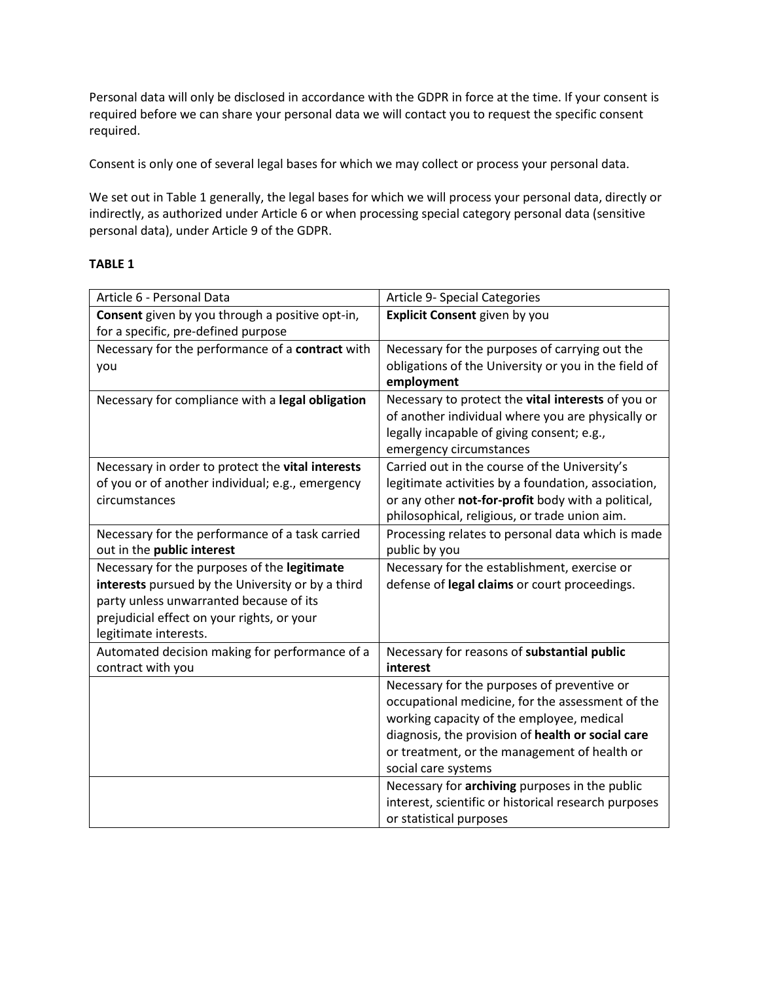Personal data will only be disclosed in accordance with the GDPR in force at the time. If your consent is required before we can share your personal data we will contact you to request the specific consent required.

Consent is only one of several legal bases for which we may collect or process your personal data.

We set out in Table 1 generally, the legal bases for which we will process your personal data, directly or indirectly, as authorized under Article 6 or when processing special category personal data (sensitive personal data), under Article 9 of the GDPR.

#### **TABLE 1**

| Article 6 - Personal Data                                                                                                                                                                                           | Article 9- Special Categories                                                                                                                                                                                                                                            |
|---------------------------------------------------------------------------------------------------------------------------------------------------------------------------------------------------------------------|--------------------------------------------------------------------------------------------------------------------------------------------------------------------------------------------------------------------------------------------------------------------------|
| Consent given by you through a positive opt-in,<br>for a specific, pre-defined purpose                                                                                                                              | <b>Explicit Consent given by you</b>                                                                                                                                                                                                                                     |
| Necessary for the performance of a contract with<br>you                                                                                                                                                             | Necessary for the purposes of carrying out the<br>obligations of the University or you in the field of<br>employment                                                                                                                                                     |
| Necessary for compliance with a legal obligation                                                                                                                                                                    | Necessary to protect the vital interests of you or<br>of another individual where you are physically or<br>legally incapable of giving consent; e.g.,<br>emergency circumstances                                                                                         |
| Necessary in order to protect the vital interests<br>of you or of another individual; e.g., emergency<br>circumstances                                                                                              | Carried out in the course of the University's<br>legitimate activities by a foundation, association,<br>or any other not-for-profit body with a political,<br>philosophical, religious, or trade union aim.                                                              |
| Necessary for the performance of a task carried<br>out in the public interest                                                                                                                                       | Processing relates to personal data which is made<br>public by you                                                                                                                                                                                                       |
| Necessary for the purposes of the legitimate<br>interests pursued by the University or by a third<br>party unless unwarranted because of its<br>prejudicial effect on your rights, or your<br>legitimate interests. | Necessary for the establishment, exercise or<br>defense of legal claims or court proceedings.                                                                                                                                                                            |
| Automated decision making for performance of a<br>contract with you                                                                                                                                                 | Necessary for reasons of substantial public<br>interest                                                                                                                                                                                                                  |
|                                                                                                                                                                                                                     | Necessary for the purposes of preventive or<br>occupational medicine, for the assessment of the<br>working capacity of the employee, medical<br>diagnosis, the provision of health or social care<br>or treatment, or the management of health or<br>social care systems |
|                                                                                                                                                                                                                     | Necessary for archiving purposes in the public<br>interest, scientific or historical research purposes<br>or statistical purposes                                                                                                                                        |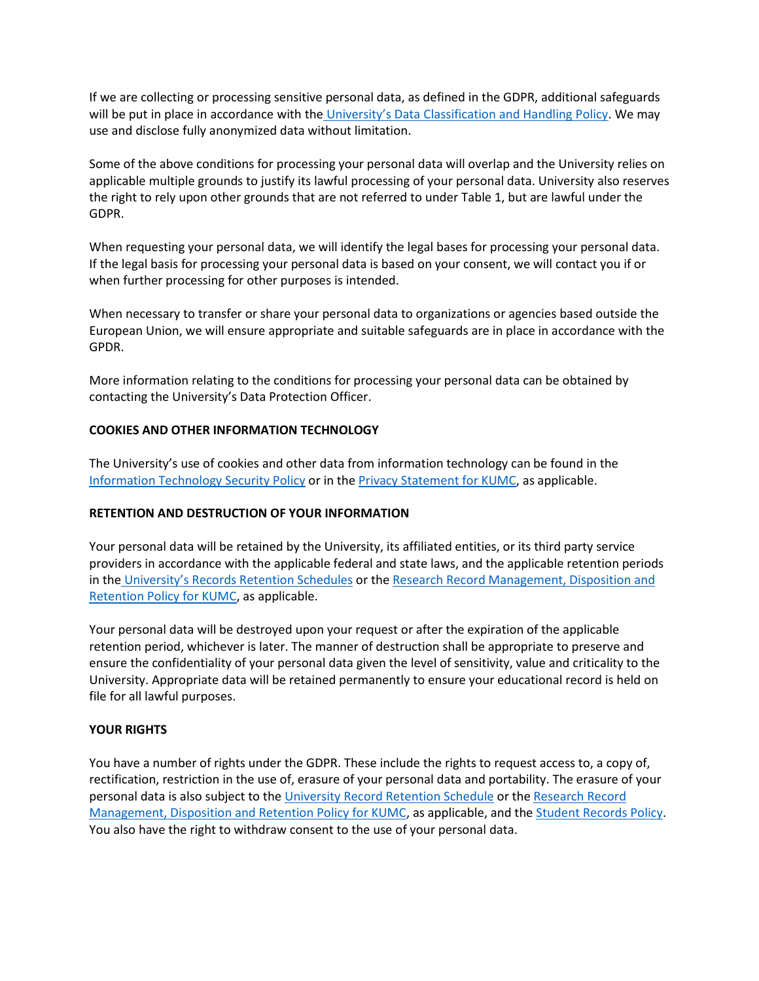If we are collecting or processing sensitive personal data, as defined in the GDPR, additional safeguards will be put in place in accordance with the [University's Data Classification and Ha](https://policy.ku.edu/IT/data-classification-handling)ndling Policy. We may use and disclose fully anonymized data without limitation.

Some of the above conditions for processing your personal data will overlap and the University relies on applicable multiple grounds to justify its lawful processing of your personal data. University also reserves the right to rely upon other grounds that are not referred to under Table 1, but are lawful under the GDPR.

When requesting your personal data, we will identify the legal bases for processing your personal data. If the legal basis for processing your personal data is based on your consent, we will contact you if or when further processing for other purposes is intended.

When necessary to transfer or share your personal data to organizations or agencies based outside the European Union, we will ensure appropriate and suitable safeguards are in place in accordance with the GPDR.

More information relating to the conditions for processing your personal data can be obtained by contacting the University's Data Protection Officer.

# **COOKIES AND OTHER INFORMATION TECHNOLOGY**

The University's use of cookies and other data from information technology can be found in the [Information Technology Security Policy](https://policy.ku.edu/IT/info-technology-security-policy) or in the [Privacy Statement for KUMC, a](http://www.kumc.edu/privacy-statement.html)s applicable.

# **RETENTION AND DESTRUCTION OF YOUR INFORMATION**

Your personal data will be retained by the University, its affiliated entities, or its third party service providers in accordance with the applicable federal and state laws, and the applicable retention periods in the [University's Records Retention Schedules](https://policy.ku.edu/provost/records-retention-schedule) or th[e Research Record Management, Disposition and](https://kumc-publicpoliciesandprocedures.policystat.com/policy/4521278/latest/) [Retention Policy for KUMC, a](https://kumc-publicpoliciesandprocedures.policystat.com/policy/4521278/latest/)s applicable.

Your personal data will be destroyed upon your request or after the expiration of the applicable retention period, whichever is later. The manner of destruction shall be appropriate to preserve and ensure the confidentiality of your personal data given the level of sensitivity, value and criticality to the University. Appropriate data will be retained permanently to ensure your educational record is held on file for all lawful purposes.

# **YOUR RIGHTS**

You have a number of rights under the GDPR. These include the rights to request access to, a copy of, rectification, restriction in the use of, erasure of your personal data and portability. The erasure of your personal data is also subject to th[e University Record Retention Schedule](https://policy.ku.edu/provost/records-retention-schedule) or th[e Research Record](https://kumc-publicpoliciesandprocedures.policystat.com/policy/4521278/latest/) [Management, Disposition and Retention Policy for KUMC, a](https://kumc-publicpoliciesandprocedures.policystat.com/policy/4521278/latest/)s applicable, and th[e Student Records Policy.](https://policy.ku.edu/registrar/student-record-policy) You also have the right to withdraw consent to the use of your personal data.